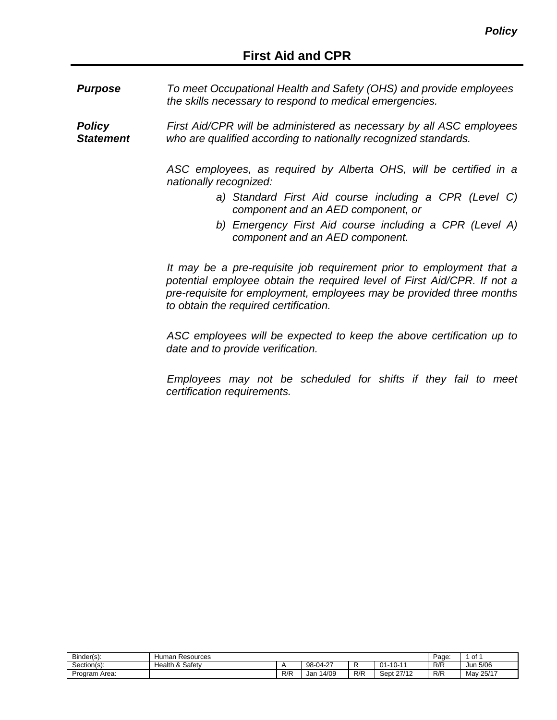*Purpose To meet Occupational Health and Safety (OHS) and provide employees the skills necessary to respond to medical emergencies.*

*Policy Statement First Aid/CPR will be administered as necessary by all ASC employees who are qualified according to nationally recognized standards.*

> *ASC employees, as required by Alberta OHS, will be certified in a nationally recognized:*

- *a) Standard First Aid course including a CPR (Level C) component and an AED component, or*
- *b) Emergency First Aid course including a CPR (Level A) component and an AED component.*

*It may be a pre-requisite job requirement prior to employment that a*  potential employee obtain the required level of First Aid/CPR. If not a *pre-requisite for employment, employees may be provided three months to obtain the required certification.*

*ASC employees will be expected to keep the above certification up to date and to provide verification.*

*Employees may not be scheduled for shifts if they fail to meet certification requirements.*

| Binder(s):    | Resources<br>Human                     |     |                                |     |                                                 |     | ∩t<br>υı       |
|---------------|----------------------------------------|-----|--------------------------------|-----|-------------------------------------------------|-----|----------------|
| Section(s):   | Safetv<br>$\sim$<br>Health<br>$\alpha$ |     | $\sim$<br>$98-04-$<br><u>_</u> |     | 10.11<br>$\mathbf{a}$<br>- 1<br>. U-<br>$\cdot$ | R/R | 5/06<br>Jun    |
| Program Area: |                                        | R/R | 14/09<br>Jar                   | R/R | 27/12<br>sept '                                 | R/R | / 25/17<br>Mav |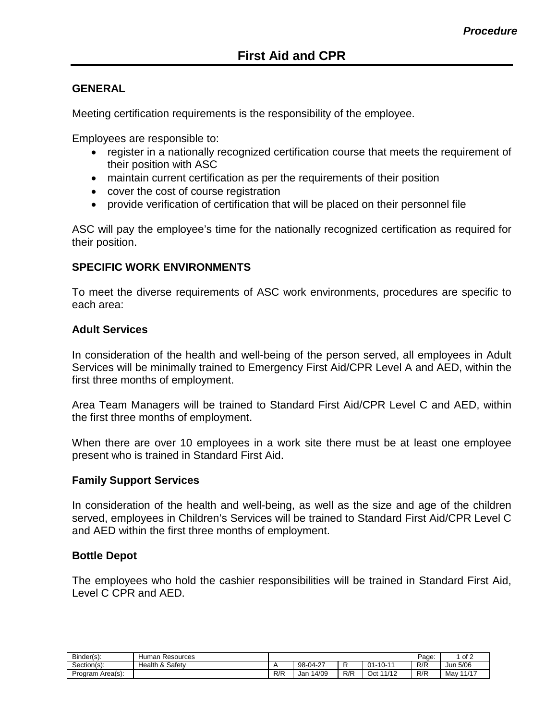## **GENERAL**

Meeting certification requirements is the responsibility of the employee.

Employees are responsible to:

- register in a nationally recognized certification course that meets the requirement of their position with ASC
- maintain current certification as per the requirements of their position
- cover the cost of course registration
- provide verification of certification that will be placed on their personnel file

ASC will pay the employee's time for the nationally recognized certification as required for their position.

## **SPECIFIC WORK ENVIRONMENTS**

To meet the diverse requirements of ASC work environments, procedures are specific to each area:

#### **Adult Services**

In consideration of the health and well-being of the person served, all employees in Adult Services will be minimally trained to Emergency First Aid/CPR Level A and AED, within the first three months of employment.

Area Team Managers will be trained to Standard First Aid/CPR Level C and AED, within the first three months of employment.

When there are over 10 employees in a work site there must be at least one employee present who is trained in Standard First Aid.

#### **Family Support Services**

In consideration of the health and well-being, as well as the size and age of the children served, employees in Children's Services will be trained to Standard First Aid/CPR Level C and AED within the first three months of employment.

#### **Bottle Depot**

The employees who hold the cashier responsibilities will be trained in Standard First Aid, Level C CPR and AED.

| Binder(s):       | Resources<br>Human                       |     |             |     |              | Page: | of 2         |
|------------------|------------------------------------------|-----|-------------|-----|--------------|-------|--------------|
| Section(s):      | Safetv<br>Health<br>$\Omega$<br>$\alpha$ |     | 98-04-27    |     | 01<br>-10-11 | R/R   | Jun 5/06     |
| Program Area(s): |                                          | R/R | 4/09<br>Jar | R/R | 1/12<br>Oct  | R/R   | 11/17<br>Mav |